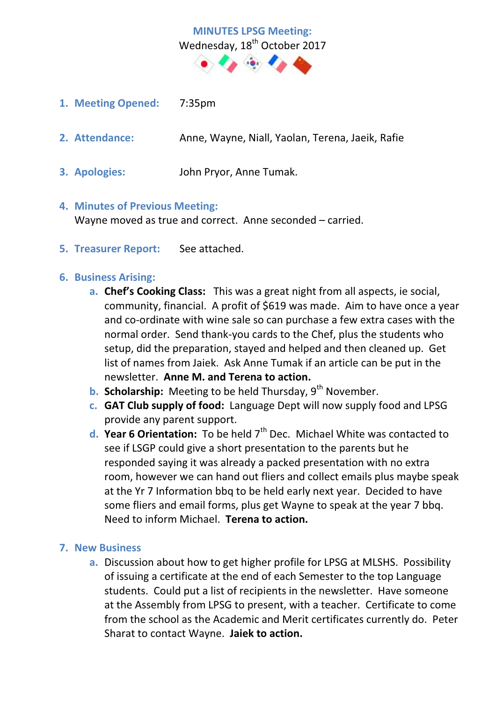# **MINUTES LPSG Meeting:**  Wednesday, 18<sup>th</sup> October 2017  $\bullet$

- **1. Meeting Opened:** 7:35pm
- **2. Attendance:** Anne, Wayne, Niall, Yaolan, Terena, Jaeik, Rafie
- **3. Apologies:** John Pryor, Anne Tumak.

#### **4. Minutes of Previous Meeting:**

Wayne moved as true and correct. Anne seconded – carried.

**5. Treasurer Report:** See attached.

### **6. Business Arising:**

- **a. Chef's Cooking Class:** This was a great night from all aspects, ie social, community, financial. A profit of \$619 was made. Aim to have once a year and co-ordinate with wine sale so can purchase a few extra cases with the normal order. Send thank-you cards to the Chef, plus the students who setup, did the preparation, stayed and helped and then cleaned up. Get list of names from Jaiek. Ask Anne Tumak if an article can be put in the newsletter. **Anne M. and Terena to action.**
- **b. Scholarship:** Meeting to be held Thursday, 9<sup>th</sup> November.
- **c. GAT Club supply of food:** Language Dept will now supply food and LPSG provide any parent support.
- **d. Year 6 Orientation:** To be held 7<sup>th</sup> Dec. Michael White was contacted to see if LSGP could give a short presentation to the parents but he responded saying it was already a packed presentation with no extra room, however we can hand out fliers and collect emails plus maybe speak at the Yr 7 Information bbq to be held early next year. Decided to have some fliers and email forms, plus get Wayne to speak at the year 7 bbq. Need to inform Michael. **Terena to action.**

### **7. New Business**

**a.** Discussion about how to get higher profile for LPSG at MLSHS. Possibility of issuing a certificate at the end of each Semester to the top Language students. Could put a list of recipients in the newsletter. Have someone at the Assembly from LPSG to present, with a teacher. Certificate to come from the school as the Academic and Merit certificates currently do. Peter Sharat to contact Wayne. **Jaiek to action.**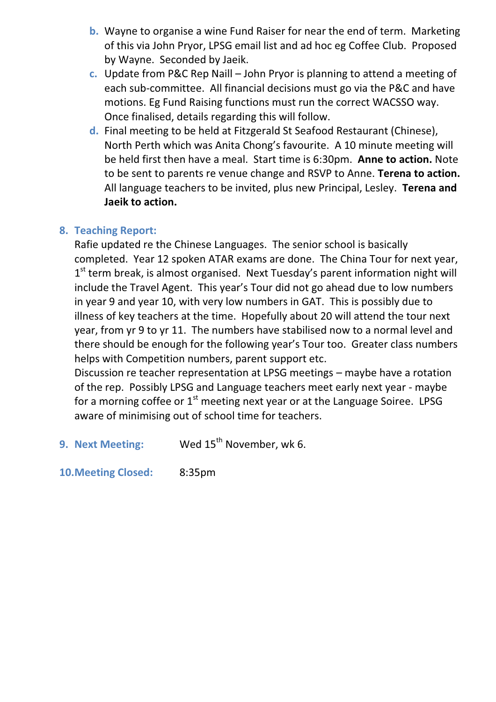- **b.** Wayne to organise a wine Fund Raiser for near the end of term. Marketing of this via John Pryor, LPSG email list and ad hoc eg Coffee Club. Proposed by Wayne. Seconded by Jaeik.
- **c.** Update from P&C Rep Naill John Pryor is planning to attend a meeting of each sub-committee. All financial decisions must go via the P&C and have motions. Eg Fund Raising functions must run the correct WACSSO way. Once finalised, details regarding this will follow.
- **d.** Final meeting to be held at Fitzgerald St Seafood Restaurant (Chinese), North Perth which was Anita Chong's favourite. A 10 minute meeting will be held first then have a meal. Start time is 6:30pm. **Anne to action.** Note to be sent to parents re venue change and RSVP to Anne. **Terena to action.**  All language teachers to be invited, plus new Principal, Lesley. **Terena and Jaeik to action.**

# **8. Teaching Report:**

Rafie updated re the Chinese Languages. The senior school is basically completed. Year 12 spoken ATAR exams are done. The China Tour for next year,  $1<sup>st</sup>$  term break, is almost organised. Next Tuesday's parent information night will include the Travel Agent. This year's Tour did not go ahead due to low numbers in year 9 and year 10, with very low numbers in GAT. This is possibly due to illness of key teachers at the time. Hopefully about 20 will attend the tour next year, from yr 9 to yr 11. The numbers have stabilised now to a normal level and there should be enough for the following year's Tour too. Greater class numbers helps with Competition numbers, parent support etc.

Discussion re teacher representation at LPSG meetings – maybe have a rotation of the rep. Possibly LPSG and Language teachers meet early next year - maybe for a morning coffee or  $1<sup>st</sup>$  meeting next year or at the Language Soiree. LPSG aware of minimising out of school time for teachers.

**9. Next Meeting:** Wed 15<sup>th</sup> November, wk 6.

**10.Meeting Closed:** 8:35pm